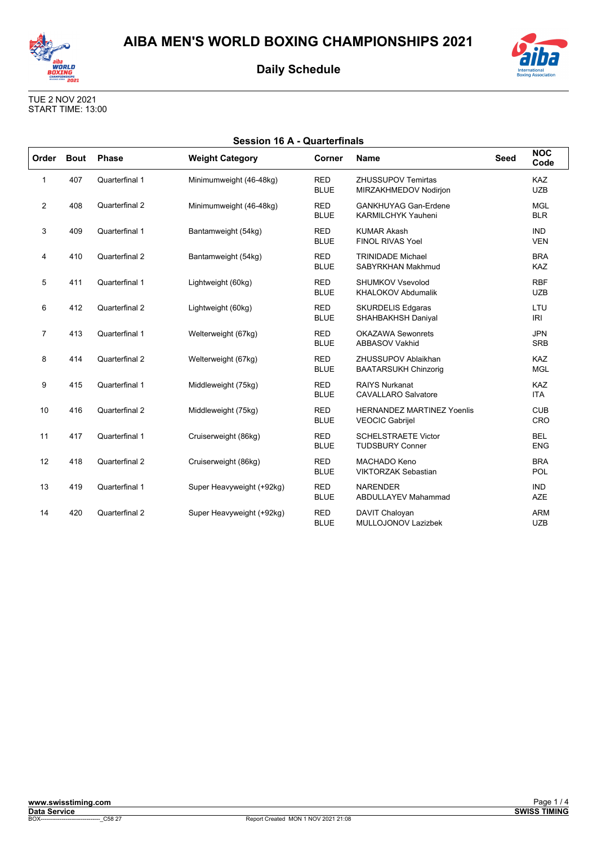



TUE 2 NOV 2021 START TIME: 13:00

| <b>Session 16 A - Quarterfinals</b> |             |                |                           |                           |                                                             |             |                          |  |
|-------------------------------------|-------------|----------------|---------------------------|---------------------------|-------------------------------------------------------------|-------------|--------------------------|--|
| Order                               | <b>Bout</b> | <b>Phase</b>   | <b>Weight Category</b>    | Corner                    | <b>Name</b>                                                 | <b>Seed</b> | <b>NOC</b><br>Code       |  |
| 1                                   | 407         | Quarterfinal 1 | Minimumweight (46-48kg)   | <b>RED</b><br><b>BLUE</b> | <b>ZHUSSUPOV Temirtas</b><br>MIRZAKHMEDOV Nodirjon          |             | <b>KAZ</b><br><b>UZB</b> |  |
| $\overline{2}$                      | 408         | Quarterfinal 2 | Minimumweight (46-48kg)   | <b>RED</b><br><b>BLUE</b> | <b>GANKHUYAG Gan-Erdene</b><br><b>KARMILCHYK Yauheni</b>    |             | <b>MGL</b><br><b>BLR</b> |  |
| 3                                   | 409         | Quarterfinal 1 | Bantamweight (54kg)       | <b>RED</b><br><b>BLUE</b> | <b>KUMAR Akash</b><br><b>FINOL RIVAS Yoel</b>               |             | <b>IND</b><br><b>VEN</b> |  |
| 4                                   | 410         | Quarterfinal 2 | Bantamweight (54kg)       | <b>RED</b><br><b>BLUE</b> | <b>TRINIDADE Michael</b><br>SABYRKHAN Makhmud               |             | <b>BRA</b><br><b>KAZ</b> |  |
| 5                                   | 411         | Quarterfinal 1 | Lightweight (60kg)        | <b>RED</b><br><b>BLUE</b> | <b>SHUMKOV Vsevolod</b><br><b>KHALOKOV Abdumalik</b>        |             | <b>RBF</b><br><b>UZB</b> |  |
| 6                                   | 412         | Quarterfinal 2 | Lightweight (60kg)        | <b>RED</b><br><b>BLUE</b> | <b>SKURDELIS Edgaras</b><br>SHAHBAKHSH Daniyal              |             | LTU<br>IRI               |  |
| $\overline{7}$                      | 413         | Quarterfinal 1 | Welterweight (67kg)       | <b>RED</b><br><b>BLUE</b> | <b>OKAZAWA Sewonrets</b><br><b>ABBASOV Vakhid</b>           |             | <b>JPN</b><br><b>SRB</b> |  |
| 8                                   | 414         | Quarterfinal 2 | Welterweight (67kg)       | <b>RED</b><br><b>BLUE</b> | ZHUSSUPOV Ablaikhan<br><b>BAATARSUKH Chinzorig</b>          |             | <b>KAZ</b><br><b>MGL</b> |  |
| 9                                   | 415         | Quarterfinal 1 | Middleweight (75kg)       | <b>RED</b><br><b>BLUE</b> | <b>RAIYS Nurkanat</b><br><b>CAVALLARO Salvatore</b>         |             | <b>KAZ</b><br><b>ITA</b> |  |
| 10                                  | 416         | Quarterfinal 2 | Middleweight (75kg)       | <b>RED</b><br><b>BLUE</b> | <b>HERNANDEZ MARTINEZ Yoenlis</b><br><b>VEOCIC Gabrijel</b> |             | <b>CUB</b><br>CRO        |  |
| 11                                  | 417         | Quarterfinal 1 | Cruiserweight (86kg)      | <b>RED</b><br><b>BLUE</b> | <b>SCHELSTRAETE Victor</b><br><b>TUDSBURY Conner</b>        |             | <b>BEL</b><br><b>ENG</b> |  |
| 12                                  | 418         | Quarterfinal 2 | Cruiserweight (86kg)      | <b>RED</b><br><b>BLUE</b> | <b>MACHADO Keno</b><br><b>VIKTORZAK Sebastian</b>           |             | <b>BRA</b><br>POL        |  |
| 13                                  | 419         | Quarterfinal 1 | Super Heavyweight (+92kg) | <b>RED</b><br><b>BLUE</b> | <b>NARENDER</b><br><b>ABDULLAYEV Mahammad</b>               |             | <b>IND</b><br><b>AZE</b> |  |
| 14                                  | 420         | Quarterfinal 2 | Super Heavyweight (+92kg) | <b>RED</b><br><b>BLUE</b> | DAVIT Chaloyan<br>MULLOJONOV Lazizbek                       |             | <b>ARM</b><br><b>UZB</b> |  |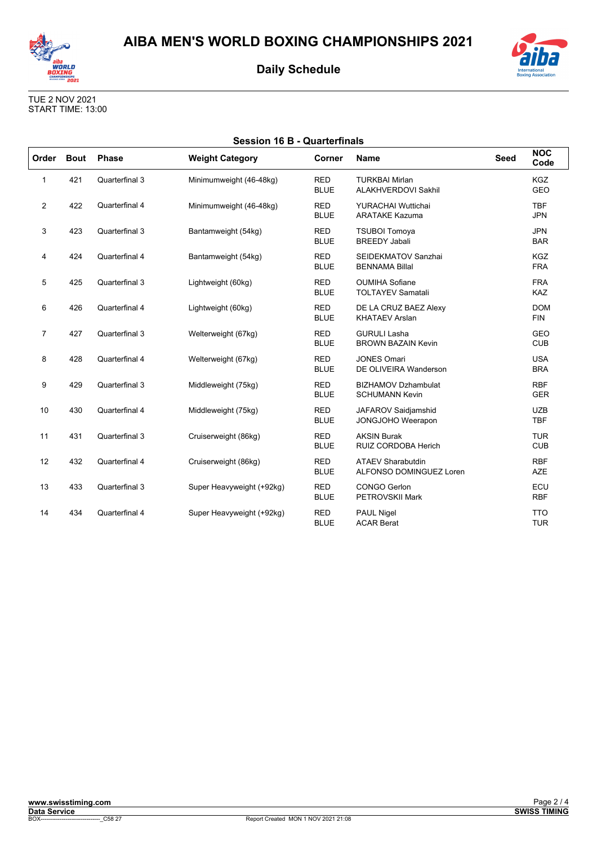



TUE 2 NOV 2021 START TIME: 13:00

| <b>Session 16 B - Quarterfinals</b> |             |                |                           |                           |                                                     |             |                          |  |
|-------------------------------------|-------------|----------------|---------------------------|---------------------------|-----------------------------------------------------|-------------|--------------------------|--|
| Order                               | <b>Bout</b> | <b>Phase</b>   | <b>Weight Category</b>    | Corner                    | <b>Name</b>                                         | <b>Seed</b> | <b>NOC</b><br>Code       |  |
| 1                                   | 421         | Quarterfinal 3 | Minimumweight (46-48kg)   | <b>RED</b><br><b>BLUE</b> | <b>TURKBAI Mirlan</b><br><b>ALAKHVERDOVI Sakhil</b> |             | <b>KGZ</b><br><b>GEO</b> |  |
| $\overline{2}$                      | 422         | Quarterfinal 4 | Minimumweight (46-48kg)   | <b>RED</b><br><b>BLUE</b> | <b>YURACHAI Wuttichai</b><br><b>ARATAKE Kazuma</b>  |             | <b>TBF</b><br><b>JPN</b> |  |
| 3                                   | 423         | Quarterfinal 3 | Bantamweight (54kg)       | <b>RED</b><br><b>BLUE</b> | <b>TSUBOI Tomoya</b><br><b>BREEDY Jabali</b>        |             | <b>JPN</b><br><b>BAR</b> |  |
| 4                                   | 424         | Quarterfinal 4 | Bantamweight (54kg)       | <b>RED</b><br><b>BLUE</b> | SEIDEKMATOV Sanzhai<br><b>BENNAMA Billal</b>        |             | <b>KGZ</b><br><b>FRA</b> |  |
| 5                                   | 425         | Quarterfinal 3 | Lightweight (60kg)        | <b>RED</b><br><b>BLUE</b> | <b>OUMIHA Sofiane</b><br><b>TOLTAYEV Samatali</b>   |             | <b>FRA</b><br>KAZ        |  |
| 6                                   | 426         | Quarterfinal 4 | Lightweight (60kg)        | <b>RED</b><br><b>BLUE</b> | DE LA CRUZ BAEZ Alexy<br><b>KHATAEV Arslan</b>      |             | <b>DOM</b><br><b>FIN</b> |  |
| $\overline{7}$                      | 427         | Quarterfinal 3 | Welterweight (67kg)       | <b>RED</b><br><b>BLUE</b> | <b>GURULI Lasha</b><br><b>BROWN BAZAIN Kevin</b>    |             | <b>GEO</b><br><b>CUB</b> |  |
| 8                                   | 428         | Quarterfinal 4 | Welterweight (67kg)       | <b>RED</b><br><b>BLUE</b> | <b>JONES Omari</b><br>DE OLIVEIRA Wanderson         |             | <b>USA</b><br><b>BRA</b> |  |
| 9                                   | 429         | Quarterfinal 3 | Middleweight (75kg)       | <b>RED</b><br><b>BLUE</b> | <b>BIZHAMOV Dzhambulat</b><br><b>SCHUMANN Kevin</b> |             | <b>RBF</b><br><b>GER</b> |  |
| 10                                  | 430         | Quarterfinal 4 | Middleweight (75kg)       | <b>RED</b><br><b>BLUE</b> | JAFAROV Saidjamshid<br>JONGJOHO Weerapon            |             | <b>UZB</b><br><b>TBF</b> |  |
| 11                                  | 431         | Quarterfinal 3 | Cruiserweight (86kg)      | <b>RED</b><br><b>BLUE</b> | <b>AKSIN Burak</b><br>RUIZ CORDOBA Herich           |             | <b>TUR</b><br><b>CUB</b> |  |
| 12                                  | 432         | Quarterfinal 4 | Cruiserweight (86kg)      | <b>RED</b><br><b>BLUE</b> | <b>ATAEV Sharabutdin</b><br>ALFONSO DOMINGUEZ Loren |             | <b>RBF</b><br><b>AZE</b> |  |
| 13                                  | 433         | Quarterfinal 3 | Super Heavyweight (+92kg) | <b>RED</b><br><b>BLUE</b> | <b>CONGO Gerlon</b><br><b>PETROVSKII Mark</b>       |             | ECU<br><b>RBF</b>        |  |
| 14                                  | 434         | Quarterfinal 4 | Super Heavyweight (+92kg) | <b>RED</b><br><b>BLUE</b> | <b>PAUL Nigel</b><br><b>ACAR Berat</b>              |             | <b>TTO</b><br><b>TUR</b> |  |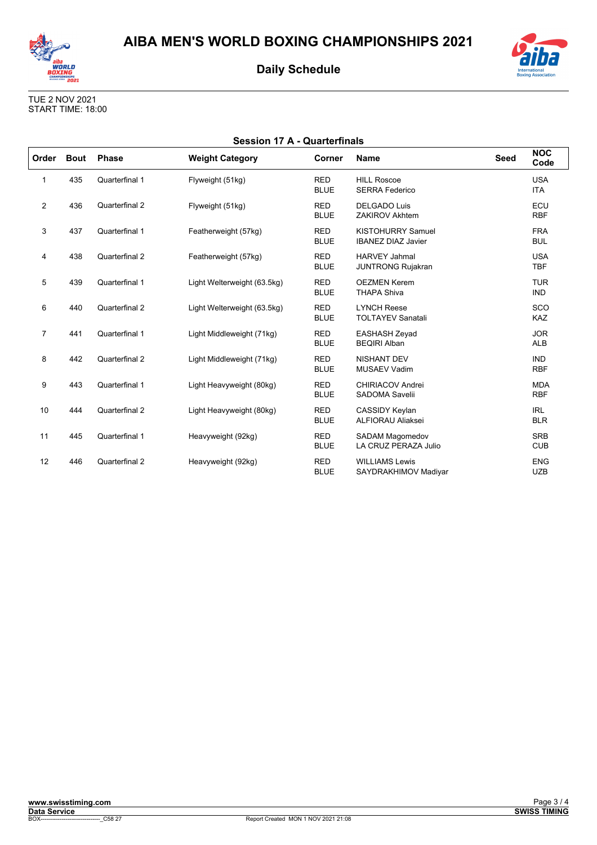



TUE 2 NOV 2021 START TIME: 18:00

| <b>Session 17 A - Quarterfinals</b> |             |                |                             |                           |                                                       |             |                          |
|-------------------------------------|-------------|----------------|-----------------------------|---------------------------|-------------------------------------------------------|-------------|--------------------------|
| Order                               | <b>Bout</b> | <b>Phase</b>   | <b>Weight Category</b>      | <b>Corner</b>             | <b>Name</b>                                           | <b>Seed</b> | <b>NOC</b><br>Code       |
| 1                                   | 435         | Quarterfinal 1 | Flyweight (51kg)            | <b>RED</b><br><b>BLUE</b> | <b>HILL Roscoe</b><br><b>SERRA Federico</b>           |             | <b>USA</b><br><b>ITA</b> |
| $\overline{2}$                      | 436         | Quarterfinal 2 | Flyweight (51kg)            | <b>RED</b><br><b>BLUE</b> | <b>DELGADO Luis</b><br><b>ZAKIROV Akhtem</b>          |             | ECU<br><b>RBF</b>        |
| 3                                   | 437         | Quarterfinal 1 | Featherweight (57kg)        | <b>RED</b><br><b>BLUE</b> | <b>KISTOHURRY Samuel</b><br><b>IBANEZ DIAZ Javier</b> |             | <b>FRA</b><br><b>BUL</b> |
| 4                                   | 438         | Quarterfinal 2 | Featherweight (57kg)        | <b>RED</b><br><b>BLUE</b> | <b>HARVEY Jahmal</b><br><b>JUNTRONG Rujakran</b>      |             | <b>USA</b><br><b>TBF</b> |
| 5                                   | 439         | Quarterfinal 1 | Light Welterweight (63.5kg) | <b>RED</b><br><b>BLUE</b> | <b>OEZMEN Kerem</b><br><b>THAPA Shiva</b>             |             | <b>TUR</b><br><b>IND</b> |
| 6                                   | 440         | Quarterfinal 2 | Light Welterweight (63.5kg) | <b>RED</b><br><b>BLUE</b> | <b>LYNCH Reese</b><br><b>TOLTAYEV Sanatali</b>        |             | SCO<br><b>KAZ</b>        |
| $\overline{7}$                      | 441         | Quarterfinal 1 | Light Middleweight (71kg)   | <b>RED</b><br><b>BLUE</b> | <b>EASHASH Zeyad</b><br><b>BEQIRI Alban</b>           |             | <b>JOR</b><br><b>ALB</b> |
| 8                                   | 442         | Quarterfinal 2 | Light Middleweight (71kg)   | <b>RED</b><br><b>BLUE</b> | <b>NISHANT DEV</b><br><b>MUSAEV Vadim</b>             |             | <b>IND</b><br><b>RBF</b> |
| 9                                   | 443         | Quarterfinal 1 | Light Heavyweight (80kg)    | <b>RED</b><br><b>BLUE</b> | CHIRIACOV Andrei<br>SADOMA Savelii                    |             | <b>MDA</b><br><b>RBF</b> |
| 10                                  | 444         | Quarterfinal 2 | Light Heavyweight (80kg)    | <b>RED</b><br><b>BLUE</b> | CASSIDY Keylan<br><b>ALFIORAU Aliaksei</b>            |             | <b>IRL</b><br><b>BLR</b> |
| 11                                  | 445         | Quarterfinal 1 | Heavyweight (92kg)          | <b>RED</b><br><b>BLUE</b> | <b>SADAM Magomedov</b><br>LA CRUZ PERAZA Julio        |             | <b>SRB</b><br><b>CUB</b> |
| 12                                  | 446         | Quarterfinal 2 | Heavyweight (92kg)          | <b>RED</b><br><b>BLUE</b> | <b>WILLIAMS Lewis</b><br>SAYDRAKHIMOV Madiyar         |             | <b>ENG</b><br><b>UZB</b> |